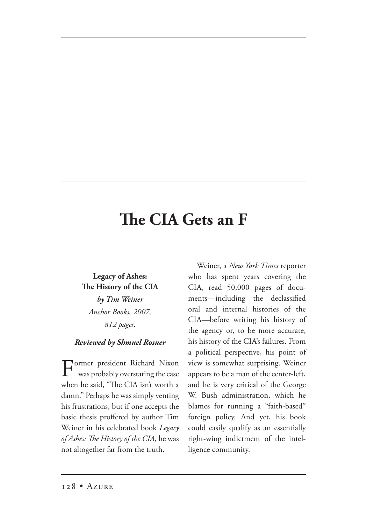## **e CIA Gets an F**

## **Legacy of Ashes: e History of the CIA** *by Tim Weiner Anchor Books, 2007, 812 pages.*

## *Reviewed by Shmuel Rosner*

Former president Richard Nixon was probably overstating the case when he said, "The CIA isn't worth a damn." Perhaps he was simply venting his frustrations, but if one accepts the basic thesis proffered by author Tim Weiner in his celebrated book *Legacy*  of Ashes: The History of the CIA, he was not altogether far from the truth.

Weiner, a *New York Times* reporter who has spent years covering the CIA, read 50,000 pages of documents—including the declassified oral and internal histories of the CIA—before writing his history of the agency or, to be more accurate, his history of the CIA's failures. From a political perspective, his point of view is somewhat surprising. Weiner appears to be a man of the center-left, and he is very critical of the George W. Bush administration, which he blames for running a "faith-based" foreign policy. And yet, his book could easily qualify as an essentially right-wing indictment of the intelligence community.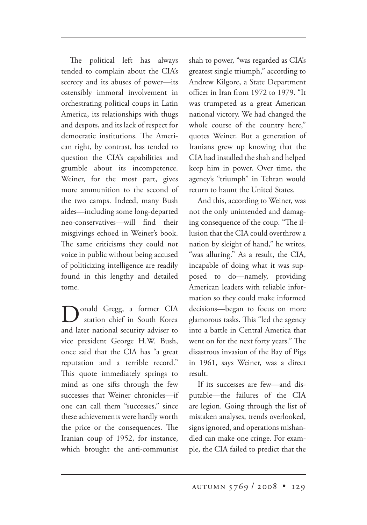The political left has always tended to complain about the CIA's secrecy and its abuses of power—its ostensibly immoral involvement in orchestrating political coups in Latin America, its relationships with thugs and despots, and its lack of respect for democratic institutions. The American right, by contrast, has tended to question the CIA's capabilities and grumble about its incompetence. Weiner, for the most part, gives more ammunition to the second of the two camps. Indeed, many Bush aides—including some long-departed neo-conservatives—will find their misgivings echoed in Weiner's book. The same criticisms they could not voice in public without being accused of politicizing intelligence are readily found in this lengthy and detailed tome.

onald Gregg, a former CIA station chief in South Korea and later national security adviser to vice president George H.W. Bush, once said that the CIA has "a great reputation and a terrible record." This quote immediately springs to mind as one sifts through the few successes that Weiner chronicles—if one can call them "successes," since these achievements were hardly worth the price or the consequences. The Iranian coup of 1952, for instance, which brought the anti-communist

shah to power, "was regarded as CIA's greatest single triumph," according to Andrew Kilgore, a State Department officer in Iran from 1972 to 1979. "It was trumpeted as a great American national victory. We had changed the whole course of the country here," quotes Weiner. But a generation of Iranians grew up knowing that the CIA had installed the shah and helped keep him in power. Over time, the agency's "triumph" in Tehran would return to haunt the United States.

And this, according to Weiner, was not the only unintended and damaging consequence of the coup. "The illusion that the CIA could overthrow a nation by sleight of hand," he writes, "was alluring." As a result, the CIA, incapable of doing what it was supposed to do—namely, providing American leaders with reliable information so they could make informed decisions—began to focus on more glamorous tasks. This "led the agency into a battle in Central America that went on for the next forty years." The disastrous invasion of the Bay of Pigs in 1961, says Weiner, was a direct result.

If its successes are few—and disputable—the failures of the CIA are legion. Going through the list of mistaken analyses, trends overlooked, signs ignored, and operations mishandled can make one cringe. For example, the CIA failed to predict that the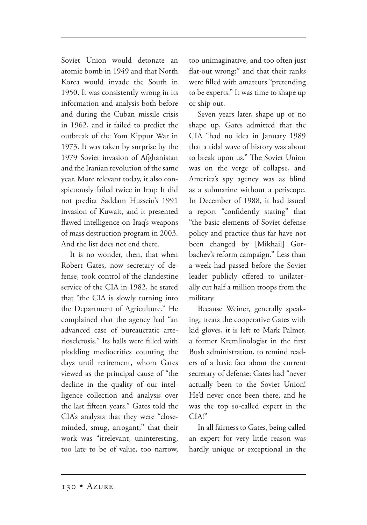Soviet Union would detonate an atomic bomb in 1949 and that North Korea would invade the South in 1950. It was consistently wrong in its information and analysis both before and during the Cuban missile crisis in 1962, and it failed to predict the outbreak of the Yom Kippur War in 1973. It was taken by surprise by the 1979 Soviet invasion of Afghanistan and the Iranian revolution of the same year. More relevant today, it also conspicuously failed twice in Iraq: It did not predict Saddam Hussein's 1991 invasion of Kuwait, and it presented flawed intelligence on Iraq's weapons of mass destruction program in 2003. And the list does not end there.

It is no wonder, then, that when Robert Gates, now secretary of defense, took control of the clandestine service of the CIA in 1982, he stated that "the CIA is slowly turning into the Department of Agriculture." He complained that the agency had "an advanced case of bureaucratic arteriosclerosis." Its halls were filled with plodding mediocrities counting the days until retirement, whom Gates viewed as the principal cause of "the decline in the quality of our intelligence collection and analysis over the last fifteen years." Gates told the CIA's analysts that they were "closeminded, smug, arrogant;" that their work was "irrelevant, uninteresting, too late to be of value, too narrow, too unimaginative, and too often just flat-out wrong;" and that their ranks were filled with amateurs "pretending to be experts." It was time to shape up or ship out.

Seven years later, shape up or no shape up, Gates admitted that the CIA "had no idea in January 1989 that a tidal wave of history was about to break upon us." The Soviet Union was on the verge of collapse, and America's spy agency was as blind as a submarine without a periscope. In December of 1988, it had issued a report "confidently stating" that "the basic elements of Soviet defense policy and practice thus far have not been changed by [Mikhail] Gorbachev's reform campaign." Less than a week had passed before the Soviet leader publicly offered to unilaterally cut half a million troops from the military.

Because Weiner, generally speaking, treats the cooperative Gates with kid gloves, it is left to Mark Palmer, a former Kremlinologist in the first Bush administration, to remind readers of a basic fact about the current secretary of defense: Gates had "never actually been to the Soviet Union! He'd never once been there, and he was the top so-called expert in the CIA!"

In all fairness to Gates, being called an expert for very little reason was hardly unique or exceptional in the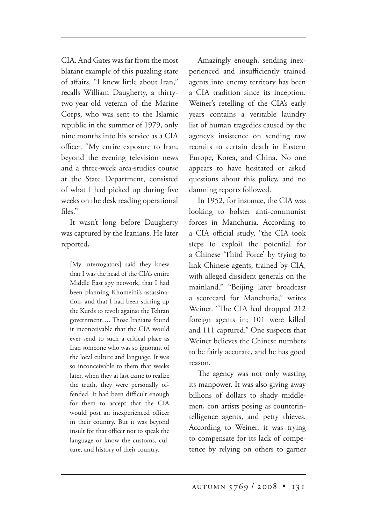CIA. And Gates was far from the most blatant example of this puzzling state of affairs. "I knew little about Iran," recalls William Daugherty, a thirtytwo-year-old veteran of the Marine Corps, who was sent to the Islamic republic in the summer of 1979, only nine months into his service as a CIA officer. "My entire exposure to Iran, beyond the evening television news and a three-week area-studies course at the State Department, consisted of what I had picked up during five weeks on the desk reading operational files."

It wasn't long before Daugherty was captured by the Iranians. He later reported,

[My interrogators] said they knew that I was the head of the CIA's entire Middle East spy network, that I had been planning Khomeini's assassination, and that I had been stirring up the Kurds to revolt against the Tehran government.... Those Iranians found it inconceivable that the CIA would ever send to such a critical place as Iran someone who was so ignorant of the local culture and language. It was so inconceivable to them that weeks later, when they at last came to realize the truth, they were personally offended. It had been difficult enough for them to accept that the CIA would post an inexperienced officer in their country. But it was beyond insult for that officer not to speak the language or know the customs, culture, and history of their country.

Amazingly enough, sending inexperienced and insufficiently trained agents into enemy territory has been a CIA tradition since its inception. Weiner's retelling of the CIA's early years contains a veritable laundry list of human tragedies caused by the agency's insistence on sending raw recruits to certain death in Eastern Europe, Korea, and China. No one appears to have hesitated or asked questions about this policy, and no damning reports followed.

In 1952, for instance, the CIA was looking to bolster anti-communist forces in Manchuria. According to a CIA official study, "the CIA took steps to exploit the potential for a Chinese 'Third Force' by trying to link Chinese agents, trained by CIA, with alleged dissident generals on the mainland." "Beijing later broadcast a scorecard for Manchuria," writes Weiner. "The CIA had dropped 212 foreign agents in; 101 were killed and 111 captured." One suspects that Weiner believes the Chinese numbers to be fairly accurate, and he has good reason.

The agency was not only wasting its manpower. It was also giving away billions of dollars to shady middlemen, con artists posing as counterintelligence agents, and petty thieves. According to Weiner, it was trying to compensate for its lack of competence by relying on others to garner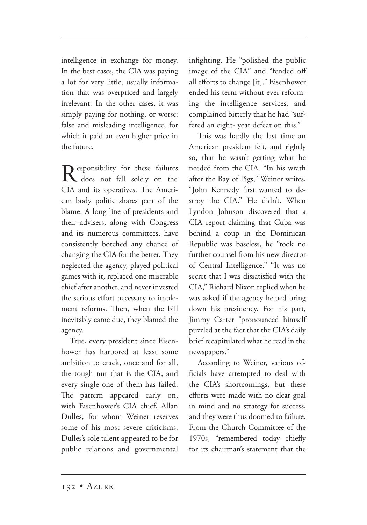intelligence in exchange for money. In the best cases, the CIA was paying a lot for very little, usually information that was overpriced and largely irrelevant. In the other cases, it was simply paying for nothing, or worse: false and misleading intelligence, for which it paid an even higher price in the future.

 $\mathbf{R}$  esponsibility for these failures<br>  $\mathbf{R}$  does not fall solely on the CIA and its operatives. The American body politic shares part of the blame. A long line of presidents and their advisers, along with Congress and its numerous committees, have consistently botched any chance of changing the CIA for the better. They neglected the agency, played political games with it, replaced one miserable chief after another, and never invested the serious effort necessary to implement reforms. Then, when the bill inevitably came due, they blamed the agency.

True, every president since Eisenhower has harbored at least some ambition to crack, once and for all, the tough nut that is the CIA, and every single one of them has failed. The pattern appeared early on, with Eisenhower's CIA chief, Allan Dulles, for whom Weiner reserves some of his most severe criticisms. Dulles's sole talent appeared to be for public relations and governmental infighting. He "polished the public image of the CIA" and "fended off all efforts to change [it]." Eisenhower ended his term without ever reforming the intelligence services, and complained bitterly that he had "suffered an eight- year defeat on this."

This was hardly the last time an American president felt, and rightly so, that he wasn't getting what he needed from the CIA. "In his wrath after the Bay of Pigs," Weiner writes, "John Kennedy first wanted to destroy the CIA." He didn't. When Lyndon Johnson discovered that a CIA report claiming that Cuba was behind a coup in the Dominican Republic was baseless, he "took no further counsel from his new director of Central Intelligence." "It was no secret that I was dissatisfied with the CIA," Richard Nixon replied when he was asked if the agency helped bring down his presidency. For his part, Jimmy Carter "pronounced himself puzzled at the fact that the CIA's daily brief recapitulated what he read in the newspapers."

According to Weiner, various officials have attempted to deal with the CIA's shortcomings, but these efforts were made with no clear goal in mind and no strategy for success, and they were thus doomed to failure. From the Church Committee of the 1970s, "remembered today chiefly for its chairman's statement that the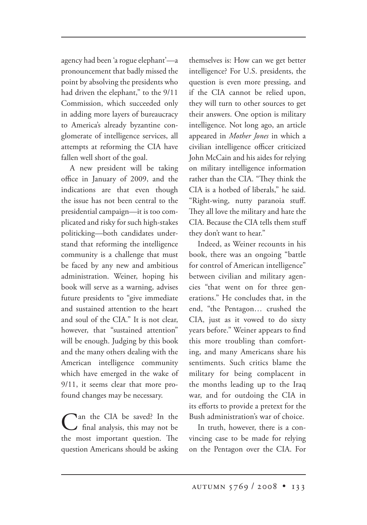agency had been 'a rogue elephant'—a pronouncement that badly missed the point by absolving the presidents who had driven the elephant," to the 9/11 Commission, which succeeded only in adding more layers of bureaucracy to America's already byzantine conglomerate of intelligence services, all attempts at reforming the CIA have fallen well short of the goal.

A new president will be taking office in January of 2009, and the indications are that even though the issue has not been central to the presidential campaign—it is too complicated and risky for such high-stakes politicking—both candidates understand that reforming the intelligence community is a challenge that must be faced by any new and ambitious administration. Weiner, hoping his book will serve as a warning, advises future presidents to "give immediate and sustained attention to the heart and soul of the CIA." It is not clear, however, that "sustained attention" will be enough. Judging by this book and the many others dealing with the American intelligence community which have emerged in the wake of 9/11, it seems clear that more profound changes may be necessary.

Can the CIA be saved? In the final analysis, this may not be the most important question. The question Americans should be asking

themselves is: How can we get better intelligence? For U.S. presidents, the question is even more pressing, and if the CIA cannot be relied upon, they will turn to other sources to get their answers. One option is military intelligence. Not long ago, an article appeared in *Mother Jones* in which a civilian intelligence officer criticized John McCain and his aides for relying on military intelligence information rather than the CIA. "They think the CIA is a hotbed of liberals," he said. "Right-wing, nutty paranoia stuff. They all love the military and hate the CIA. Because the CIA tells them stuff they don't want to hear."

Indeed, as Weiner recounts in his book, there was an ongoing "battle for control of American intelligence" between civilian and military agencies "that went on for three generations." He concludes that, in the end, "the Pentagon… crushed the CIA, just as it vowed to do sixty years before." Weiner appears to find this more troubling than comforting, and many Americans share his sentiments. Such critics blame the military for being complacent in the months leading up to the Iraq war, and for outdoing the CIA in its efforts to provide a pretext for the Bush administration's war of choice.

In truth, however, there is a convincing case to be made for relying on the Pentagon over the CIA. For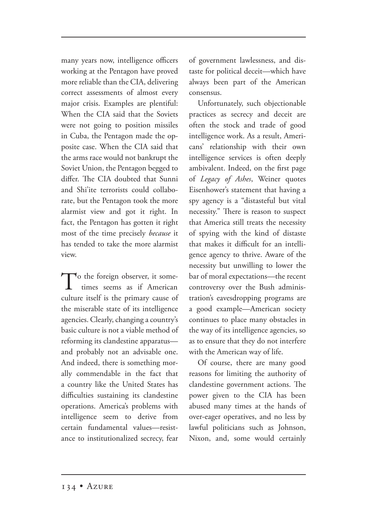many years now, intelligence officers working at the Pentagon have proved more reliable than the CIA, delivering correct assessments of almost every major crisis. Examples are plentiful: When the CIA said that the Soviets were not going to position missiles in Cuba, the Pentagon made the opposite case. When the CIA said that the arms race would not bankrupt the Soviet Union, the Pentagon begged to differ. The CIA doubted that Sunni and Shi'ite terrorists could collaborate, but the Pentagon took the more alarmist view and got it right. In fact, the Pentagon has gotten it right most of the time precisely *because* it has tended to take the more alarmist view.

To the foreign observer, it some times seems as if American culture itself is the primary cause of the miserable state of its intelligence agencies. Clearly, changing a country's basic culture is not a viable method of reforming its clandestine apparatus and probably not an advisable one. And indeed, there is something morally commendable in the fact that a country like the United States has difficulties sustaining its clandestine operations. America's problems with intelligence seem to derive from certain fundamental values—resistance to institutionalized secrecy, fear

of government lawlessness, and distaste for political deceit—which have always been part of the American consensus.

Unfortunately, such objectionable practices as secrecy and deceit are often the stock and trade of good intelligence work. As a result, Americans' relationship with their own intelligence services is often deeply ambivalent. Indeed, on the first page of *Legacy of Ashes*, Weiner quotes Eisenhower's statement that having a spy agency is a "distasteful but vital necessity." There is reason to suspect that America still treats the necessity of spying with the kind of distaste that makes it difficult for an intelligence agency to thrive. Aware of the necessity but unwilling to lower the bar of moral expectations—the recent controversy over the Bush administration's eavesdropping programs are a good example—American society continues to place many obstacles in the way of its intelligence agencies, so as to ensure that they do not interfere with the American way of life.

Of course, there are many good reasons for limiting the authority of clandestine government actions. The power given to the CIA has been abused many times at the hands of over-eager operatives, and no less by lawful politicians such as Johnson, Nixon, and, some would certainly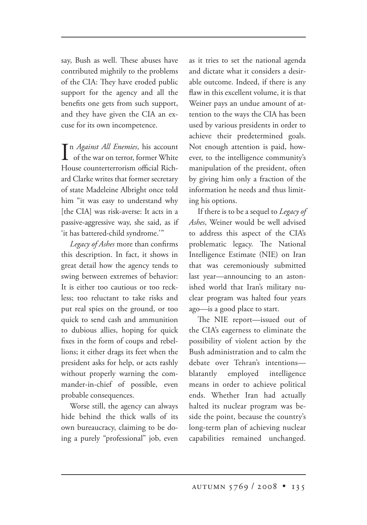say, Bush as well. These abuses have contributed mightily to the problems of the CIA: They have eroded public support for the agency and all the benefits one gets from such support, and they have given the CIA an excuse for its own incompetence.

 $\prod_{\text{of the war on terror, former White}}$ n *Against All Enemies*, his account House counterterrorism official Richard Clarke writes that former secretary of state Madeleine Albright once told him "it was easy to understand why [the CIA] was risk-averse: It acts in a passive-aggressive way, she said, as if 'it has battered-child syndrome.'"

*Legacy of Ashes* more than confirms this description. In fact, it shows in great detail how the agency tends to swing between extremes of behavior: It is either too cautious or too reckless; too reluctant to take risks and put real spies on the ground, or too quick to send cash and ammunition to dubious allies, hoping for quick fixes in the form of coups and rebellions; it either drags its feet when the president asks for help, or acts rashly without properly warning the commander-in-chief of possible, even probable consequences.

Worse still, the agency can always hide behind the thick walls of its own bureaucracy, claiming to be doing a purely "professional" job, even as it tries to set the national agenda and dictate what it considers a desirable outcome. Indeed, if there is any flaw in this excellent volume, it is that Weiner pays an undue amount of attention to the ways the CIA has been used by various presidents in order to achieve their predetermined goals. Not enough attention is paid, however, to the intelligence community's manipulation of the president, often by giving him only a fraction of the information he needs and thus limiting his options.

If there is to be a sequel to *Legacy of Ashes*, Weiner would be well advised to address this aspect of the CIA's problematic legacy. The National Intelligence Estimate (NIE) on Iran that was ceremoniously submitted last year—announcing to an astonished world that Iran's military nuclear program was halted four years ago—is a good place to start.

The NIE report--issued out of the CIA's eagerness to eliminate the possibility of violent action by the Bush administration and to calm the debate over Tehran's intentions blatantly employed intelligence means in order to achieve political ends. Whether Iran had actually halted its nuclear program was beside the point, because the country's long-term plan of achieving nuclear capabilities remained unchanged.